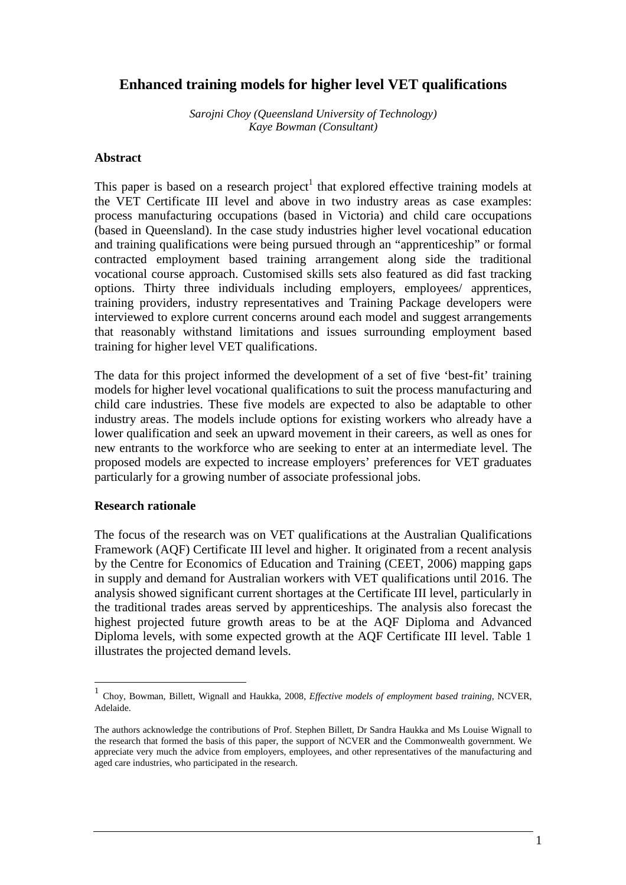# **Enhanced training models for higher level VET qualifications**

*Sarojni Choy (Queensland University of Technology) Kaye Bowman (Consultant)* 

### **Abstract**

This paper is based on a research project<sup>1</sup> that explored effective training models at the VET Certificate III level and above in two industry areas as case examples: process manufacturing occupations (based in Victoria) and child care occupations (based in Queensland). In the case study industries higher level vocational education and training qualifications were being pursued through an "apprenticeship" or formal contracted employment based training arrangement along side the traditional vocational course approach. Customised skills sets also featured as did fast tracking options. Thirty three individuals including employers, employees/ apprentices, training providers, industry representatives and Training Package developers were interviewed to explore current concerns around each model and suggest arrangements that reasonably withstand limitations and issues surrounding employment based training for higher level VET qualifications.

The data for this project informed the development of a set of five 'best-fit' training models for higher level vocational qualifications to suit the process manufacturing and child care industries. These five models are expected to also be adaptable to other industry areas. The models include options for existing workers who already have a lower qualification and seek an upward movement in their careers, as well as ones for new entrants to the workforce who are seeking to enter at an intermediate level. The proposed models are expected to increase employers' preferences for VET graduates particularly for a growing number of associate professional jobs.

### **Research rationale**

 $\overline{a}$ 

The focus of the research was on VET qualifications at the Australian Qualifications Framework (AQF) Certificate III level and higher. It originated from a recent analysis by the Centre for Economics of Education and Training (CEET, 2006) mapping gaps in supply and demand for Australian workers with VET qualifications until 2016. The analysis showed significant current shortages at the Certificate III level, particularly in the traditional trades areas served by apprenticeships. The analysis also forecast the highest projected future growth areas to be at the AQF Diploma and Advanced Diploma levels, with some expected growth at the AQF Certificate III level. Table 1 illustrates the projected demand levels.

<sup>1</sup> Choy, Bowman, Billett, Wignall and Haukka, 2008, *Effective models of employment based training*, NCVER, Adelaide.

The authors acknowledge the contributions of Prof. Stephen Billett, Dr Sandra Haukka and Ms Louise Wignall to the research that formed the basis of this paper, the support of NCVER and the Commonwealth government. We appreciate very much the advice from employers, employees, and other representatives of the manufacturing and aged care industries, who participated in the research.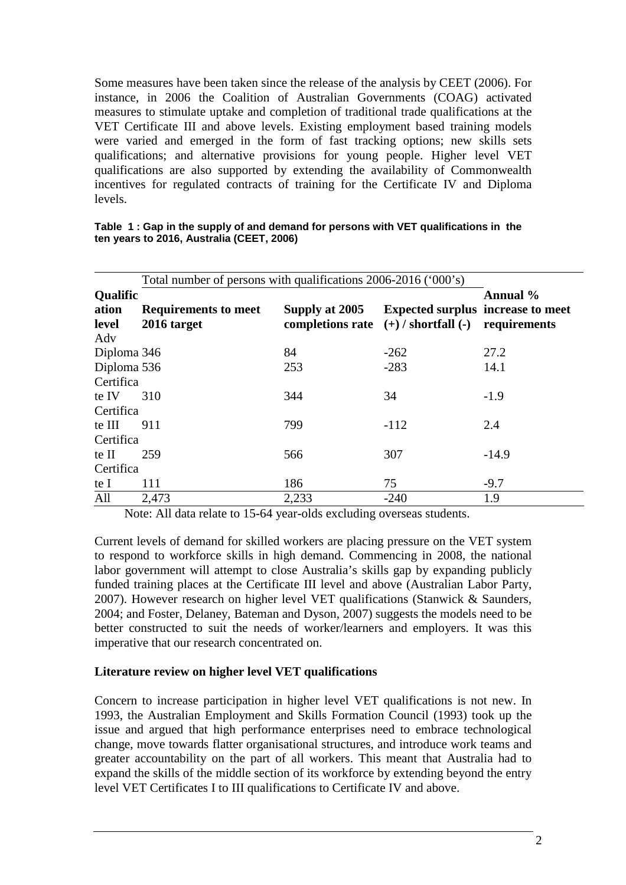Some measures have been taken since the release of the analysis by CEET (2006). For instance, in 2006 the Coalition of Australian Governments (COAG) activated measures to stimulate uptake and completion of traditional trade qualifications at the VET Certificate III and above levels. Existing employment based training models were varied and emerged in the form of fast tracking options; new skills sets qualifications; and alternative provisions for young people. Higher level VET qualifications are also supported by extending the availability of Commonwealth incentives for regulated contracts of training for the Certificate IV and Diploma levels.

|             | Total number of persons with qualifications 2006-2016 ('000's) |                                          |                                          |              |  |  |
|-------------|----------------------------------------------------------------|------------------------------------------|------------------------------------------|--------------|--|--|
| Qualific    |                                                                |                                          |                                          | Annual %     |  |  |
| ation       | <b>Requirements to meet</b>                                    | Supply at 2005                           | <b>Expected surplus increase to meet</b> |              |  |  |
| level       | 2016 target                                                    | completions rate $(+)$ / shortfall $(-)$ |                                          | requirements |  |  |
| Adv         |                                                                |                                          |                                          |              |  |  |
| Diploma 346 |                                                                | 84                                       | $-262$                                   | 27.2         |  |  |
| Diploma 536 |                                                                | 253                                      | $-283$                                   | 14.1         |  |  |
| Certifica   |                                                                |                                          |                                          |              |  |  |
| te IV       | 310                                                            | 344                                      | 34                                       | $-1.9$       |  |  |
| Certifica   |                                                                |                                          |                                          |              |  |  |
| te III      | 911                                                            | 799                                      | $-112$                                   | 2.4          |  |  |
| Certifica   |                                                                |                                          |                                          |              |  |  |
| te II       | 259                                                            | 566                                      | 307                                      | $-14.9$      |  |  |
| Certifica   |                                                                |                                          |                                          |              |  |  |
| te I        | 111                                                            | 186                                      | 75                                       | $-9.7$       |  |  |
| All         | 2,473                                                          | 2,233                                    | $-240$                                   | 1.9          |  |  |

| Table 1: Gap in the supply of and demand for persons with VET qualifications in the |  |
|-------------------------------------------------------------------------------------|--|
| ten years to 2016, Australia (CEET, 2006)                                           |  |

Note: All data relate to 15-64 year-olds excluding overseas students.

Current levels of demand for skilled workers are placing pressure on the VET system to respond to workforce skills in high demand. Commencing in 2008, the national labor government will attempt to close Australia's skills gap by expanding publicly funded training places at the Certificate III level and above (Australian Labor Party, 2007). However research on higher level VET qualifications (Stanwick & Saunders, 2004; and Foster, Delaney, Bateman and Dyson, 2007) suggests the models need to be better constructed to suit the needs of worker/learners and employers. It was this imperative that our research concentrated on.

### **Literature review on higher level VET qualifications**

Concern to increase participation in higher level VET qualifications is not new. In 1993, the Australian Employment and Skills Formation Council (1993) took up the issue and argued that high performance enterprises need to embrace technological change, move towards flatter organisational structures, and introduce work teams and greater accountability on the part of all workers. This meant that Australia had to expand the skills of the middle section of its workforce by extending beyond the entry level VET Certificates I to III qualifications to Certificate IV and above.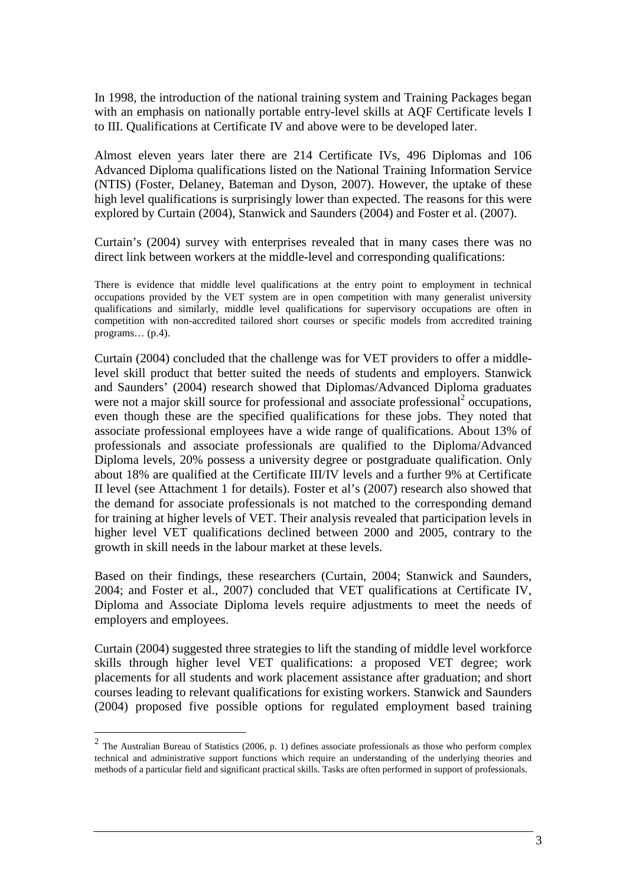In 1998, the introduction of the national training system and Training Packages began with an emphasis on nationally portable entry-level skills at AQF Certificate levels I to III. Qualifications at Certificate IV and above were to be developed later.

Almost eleven years later there are 214 Certificate IVs, 496 Diplomas and 106 Advanced Diploma qualifications listed on the National Training Information Service (NTIS) (Foster, Delaney, Bateman and Dyson, 2007). However, the uptake of these high level qualifications is surprisingly lower than expected. The reasons for this were explored by Curtain (2004), Stanwick and Saunders (2004) and Foster et al. (2007).

Curtain's (2004) survey with enterprises revealed that in many cases there was no direct link between workers at the middle-level and corresponding qualifications:

There is evidence that middle level qualifications at the entry point to employment in technical occupations provided by the VET system are in open competition with many generalist university qualifications and similarly, middle level qualifications for supervisory occupations are often in competition with non-accredited tailored short courses or specific models from accredited training programs… (p.4).

Curtain (2004) concluded that the challenge was for VET providers to offer a middlelevel skill product that better suited the needs of students and employers. Stanwick and Saunders' (2004) research showed that Diplomas/Advanced Diploma graduates were not a major skill source for professional and associate professional<sup>2</sup> occupations, even though these are the specified qualifications for these jobs. They noted that associate professional employees have a wide range of qualifications. About 13% of professionals and associate professionals are qualified to the Diploma/Advanced Diploma levels, 20% possess a university degree or postgraduate qualification. Only about 18% are qualified at the Certificate III/IV levels and a further 9% at Certificate II level (see Attachment 1 for details). Foster et al's (2007) research also showed that the demand for associate professionals is not matched to the corresponding demand for training at higher levels of VET. Their analysis revealed that participation levels in higher level VET qualifications declined between 2000 and 2005, contrary to the growth in skill needs in the labour market at these levels.

Based on their findings, these researchers (Curtain, 2004; Stanwick and Saunders, 2004; and Foster et al., 2007) concluded that VET qualifications at Certificate IV, Diploma and Associate Diploma levels require adjustments to meet the needs of employers and employees.

Curtain (2004) suggested three strategies to lift the standing of middle level workforce skills through higher level VET qualifications: a proposed VET degree; work placements for all students and work placement assistance after graduation; and short courses leading to relevant qualifications for existing workers. Stanwick and Saunders (2004) proposed five possible options for regulated employment based training

<sup>&</sup>lt;sup>2</sup> The Australian Bureau of Statistics (2006, p. 1) defines associate professionals as those who perform complex technical and administrative support functions which require an understanding of the underlying theories and methods of a particular field and significant practical skills. Tasks are often performed in support of professionals.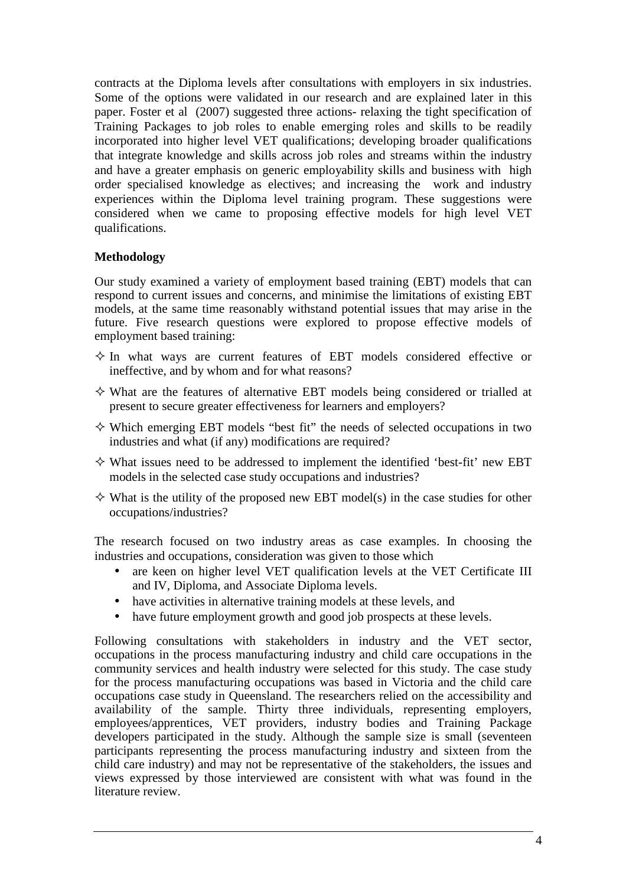contracts at the Diploma levels after consultations with employers in six industries. Some of the options were validated in our research and are explained later in this paper. Foster et al (2007) suggested three actions- relaxing the tight specification of Training Packages to job roles to enable emerging roles and skills to be readily incorporated into higher level VET qualifications; developing broader qualifications that integrate knowledge and skills across job roles and streams within the industry and have a greater emphasis on generic employability skills and business with high order specialised knowledge as electives; and increasing the work and industry experiences within the Diploma level training program. These suggestions were considered when we came to proposing effective models for high level VET qualifications.

## **Methodology**

Our study examined a variety of employment based training (EBT) models that can respond to current issues and concerns, and minimise the limitations of existing EBT models, at the same time reasonably withstand potential issues that may arise in the future. Five research questions were explored to propose effective models of employment based training:

- $\Diamond$  In what ways are current features of EBT models considered effective or ineffective, and by whom and for what reasons?
- $\diamond$  What are the features of alternative EBT models being considered or trialled at present to secure greater effectiveness for learners and employers?
- $\Diamond$  Which emerging EBT models "best fit" the needs of selected occupations in two industries and what (if any) modifications are required?
- $\diamond$  What issues need to be addressed to implement the identified 'best-fit' new EBT models in the selected case study occupations and industries?
- $\Diamond$  What is the utility of the proposed new EBT model(s) in the case studies for other occupations/industries?

The research focused on two industry areas as case examples. In choosing the industries and occupations, consideration was given to those which

- are keen on higher level VET qualification levels at the VET Certificate III and IV, Diploma, and Associate Diploma levels.
- have activities in alternative training models at these levels, and
- have future employment growth and good job prospects at these levels.

Following consultations with stakeholders in industry and the VET sector, occupations in the process manufacturing industry and child care occupations in the community services and health industry were selected for this study. The case study for the process manufacturing occupations was based in Victoria and the child care occupations case study in Queensland. The researchers relied on the accessibility and availability of the sample. Thirty three individuals, representing employers, employees/apprentices, VET providers, industry bodies and Training Package developers participated in the study. Although the sample size is small (seventeen participants representing the process manufacturing industry and sixteen from the child care industry) and may not be representative of the stakeholders, the issues and views expressed by those interviewed are consistent with what was found in the literature review.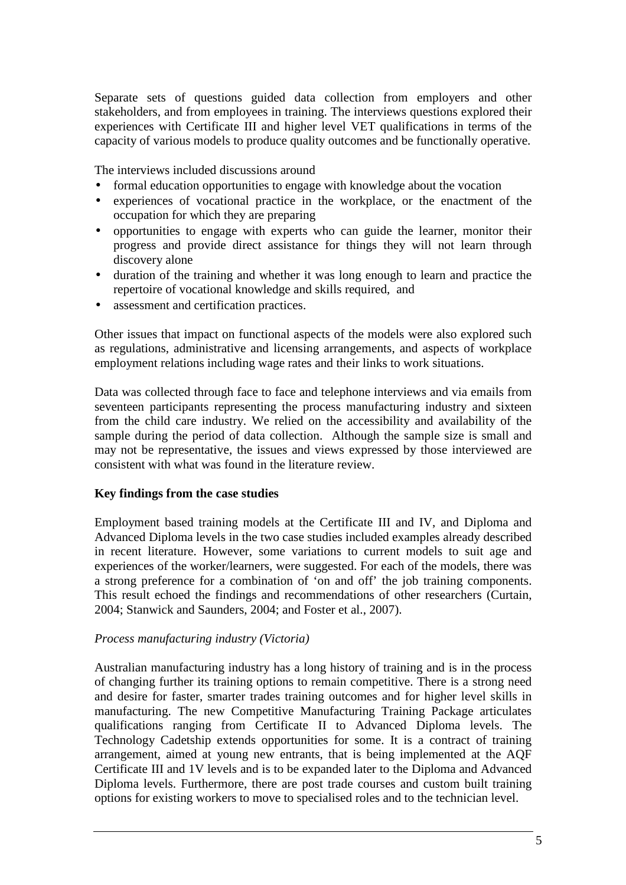Separate sets of questions guided data collection from employers and other stakeholders, and from employees in training. The interviews questions explored their experiences with Certificate III and higher level VET qualifications in terms of the capacity of various models to produce quality outcomes and be functionally operative.

The interviews included discussions around

- formal education opportunities to engage with knowledge about the vocation
- experiences of vocational practice in the workplace, or the enactment of the occupation for which they are preparing
- opportunities to engage with experts who can guide the learner, monitor their progress and provide direct assistance for things they will not learn through discovery alone
- duration of the training and whether it was long enough to learn and practice the repertoire of vocational knowledge and skills required, and
- assessment and certification practices.

Other issues that impact on functional aspects of the models were also explored such as regulations, administrative and licensing arrangements, and aspects of workplace employment relations including wage rates and their links to work situations.

Data was collected through face to face and telephone interviews and via emails from seventeen participants representing the process manufacturing industry and sixteen from the child care industry. We relied on the accessibility and availability of the sample during the period of data collection. Although the sample size is small and may not be representative, the issues and views expressed by those interviewed are consistent with what was found in the literature review.

### **Key findings from the case studies**

Employment based training models at the Certificate III and IV, and Diploma and Advanced Diploma levels in the two case studies included examples already described in recent literature. However, some variations to current models to suit age and experiences of the worker/learners, were suggested. For each of the models, there was a strong preference for a combination of 'on and off' the job training components. This result echoed the findings and recommendations of other researchers (Curtain, 2004; Stanwick and Saunders, 2004; and Foster et al., 2007).

### *Process manufacturing industry (Victoria)*

Australian manufacturing industry has a long history of training and is in the process of changing further its training options to remain competitive. There is a strong need and desire for faster, smarter trades training outcomes and for higher level skills in manufacturing. The new Competitive Manufacturing Training Package articulates qualifications ranging from Certificate II to Advanced Diploma levels. The Technology Cadetship extends opportunities for some. It is a contract of training arrangement, aimed at young new entrants, that is being implemented at the AQF Certificate III and 1V levels and is to be expanded later to the Diploma and Advanced Diploma levels. Furthermore, there are post trade courses and custom built training options for existing workers to move to specialised roles and to the technician level.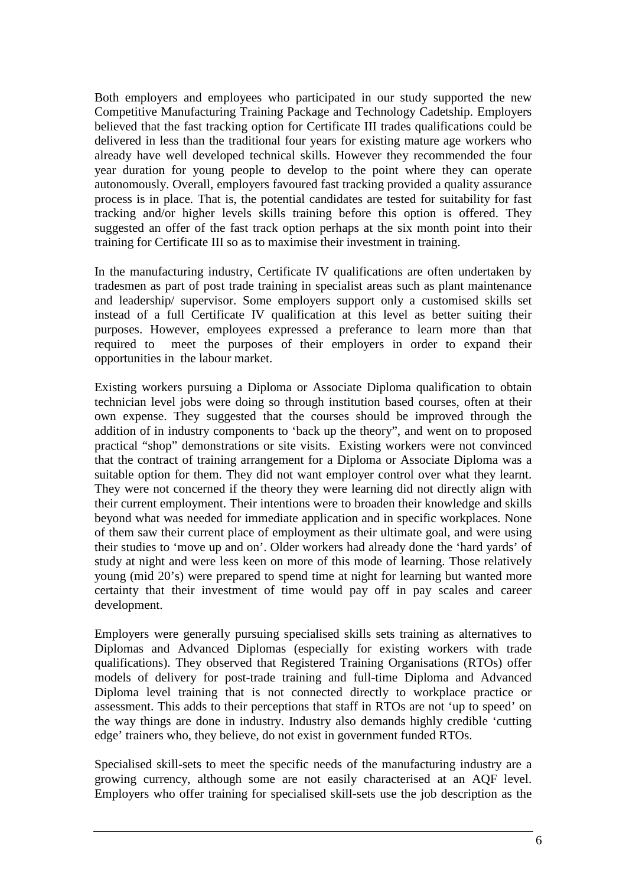Both employers and employees who participated in our study supported the new Competitive Manufacturing Training Package and Technology Cadetship. Employers believed that the fast tracking option for Certificate III trades qualifications could be delivered in less than the traditional four years for existing mature age workers who already have well developed technical skills. However they recommended the four year duration for young people to develop to the point where they can operate autonomously. Overall, employers favoured fast tracking provided a quality assurance process is in place. That is, the potential candidates are tested for suitability for fast tracking and/or higher levels skills training before this option is offered. They suggested an offer of the fast track option perhaps at the six month point into their training for Certificate III so as to maximise their investment in training.

In the manufacturing industry, Certificate IV qualifications are often undertaken by tradesmen as part of post trade training in specialist areas such as plant maintenance and leadership/ supervisor. Some employers support only a customised skills set instead of a full Certificate IV qualification at this level as better suiting their purposes. However, employees expressed a preferance to learn more than that required to meet the purposes of their employers in order to expand their opportunities in the labour market.

Existing workers pursuing a Diploma or Associate Diploma qualification to obtain technician level jobs were doing so through institution based courses, often at their own expense. They suggested that the courses should be improved through the addition of in industry components to 'back up the theory", and went on to proposed practical "shop" demonstrations or site visits. Existing workers were not convinced that the contract of training arrangement for a Diploma or Associate Diploma was a suitable option for them. They did not want employer control over what they learnt. They were not concerned if the theory they were learning did not directly align with their current employment. Their intentions were to broaden their knowledge and skills beyond what was needed for immediate application and in specific workplaces. None of them saw their current place of employment as their ultimate goal, and were using their studies to 'move up and on'. Older workers had already done the 'hard yards' of study at night and were less keen on more of this mode of learning. Those relatively young (mid 20's) were prepared to spend time at night for learning but wanted more certainty that their investment of time would pay off in pay scales and career development.

Employers were generally pursuing specialised skills sets training as alternatives to Diplomas and Advanced Diplomas (especially for existing workers with trade qualifications). They observed that Registered Training Organisations (RTOs) offer models of delivery for post-trade training and full-time Diploma and Advanced Diploma level training that is not connected directly to workplace practice or assessment. This adds to their perceptions that staff in RTOs are not 'up to speed' on the way things are done in industry. Industry also demands highly credible 'cutting edge' trainers who, they believe, do not exist in government funded RTOs.

Specialised skill-sets to meet the specific needs of the manufacturing industry are a growing currency, although some are not easily characterised at an AQF level. Employers who offer training for specialised skill-sets use the job description as the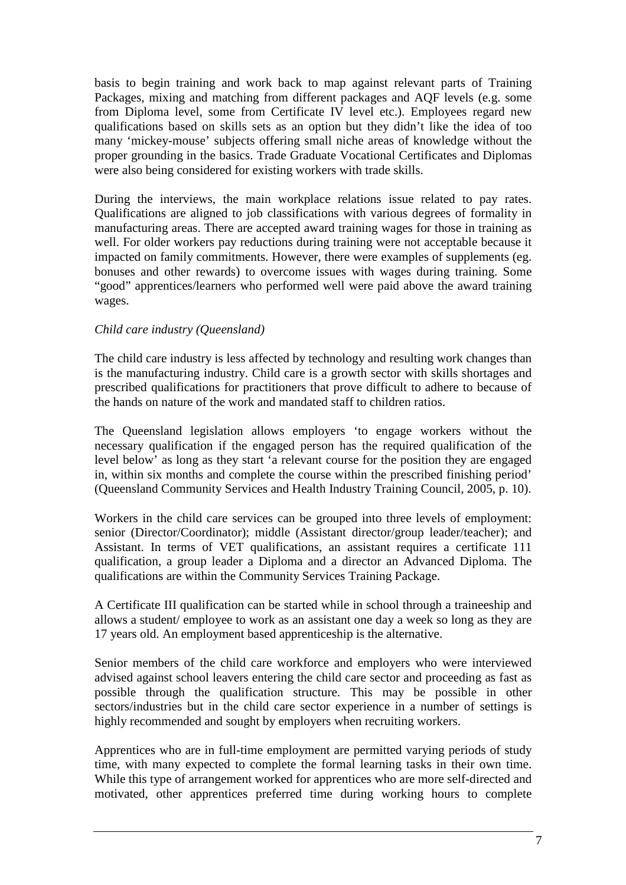basis to begin training and work back to map against relevant parts of Training Packages, mixing and matching from different packages and AQF levels (e.g. some from Diploma level, some from Certificate IV level etc.). Employees regard new qualifications based on skills sets as an option but they didn't like the idea of too many 'mickey-mouse' subjects offering small niche areas of knowledge without the proper grounding in the basics. Trade Graduate Vocational Certificates and Diplomas were also being considered for existing workers with trade skills.

During the interviews, the main workplace relations issue related to pay rates. Qualifications are aligned to job classifications with various degrees of formality in manufacturing areas. There are accepted award training wages for those in training as well. For older workers pay reductions during training were not acceptable because it impacted on family commitments. However, there were examples of supplements (eg. bonuses and other rewards) to overcome issues with wages during training. Some "good" apprentices/learners who performed well were paid above the award training wages.

## *Child care industry (Queensland)*

The child care industry is less affected by technology and resulting work changes than is the manufacturing industry. Child care is a growth sector with skills shortages and prescribed qualifications for practitioners that prove difficult to adhere to because of the hands on nature of the work and mandated staff to children ratios.

The Queensland legislation allows employers 'to engage workers without the necessary qualification if the engaged person has the required qualification of the level below' as long as they start 'a relevant course for the position they are engaged in, within six months and complete the course within the prescribed finishing period' (Queensland Community Services and Health Industry Training Council, 2005, p. 10).

Workers in the child care services can be grouped into three levels of employment: senior (Director/Coordinator); middle (Assistant director/group leader/teacher); and Assistant. In terms of VET qualifications, an assistant requires a certificate 111 qualification, a group leader a Diploma and a director an Advanced Diploma. The qualifications are within the Community Services Training Package.

A Certificate III qualification can be started while in school through a traineeship and allows a student/ employee to work as an assistant one day a week so long as they are 17 years old. An employment based apprenticeship is the alternative.

Senior members of the child care workforce and employers who were interviewed advised against school leavers entering the child care sector and proceeding as fast as possible through the qualification structure. This may be possible in other sectors/industries but in the child care sector experience in a number of settings is highly recommended and sought by employers when recruiting workers.

Apprentices who are in full-time employment are permitted varying periods of study time, with many expected to complete the formal learning tasks in their own time. While this type of arrangement worked for apprentices who are more self-directed and motivated, other apprentices preferred time during working hours to complete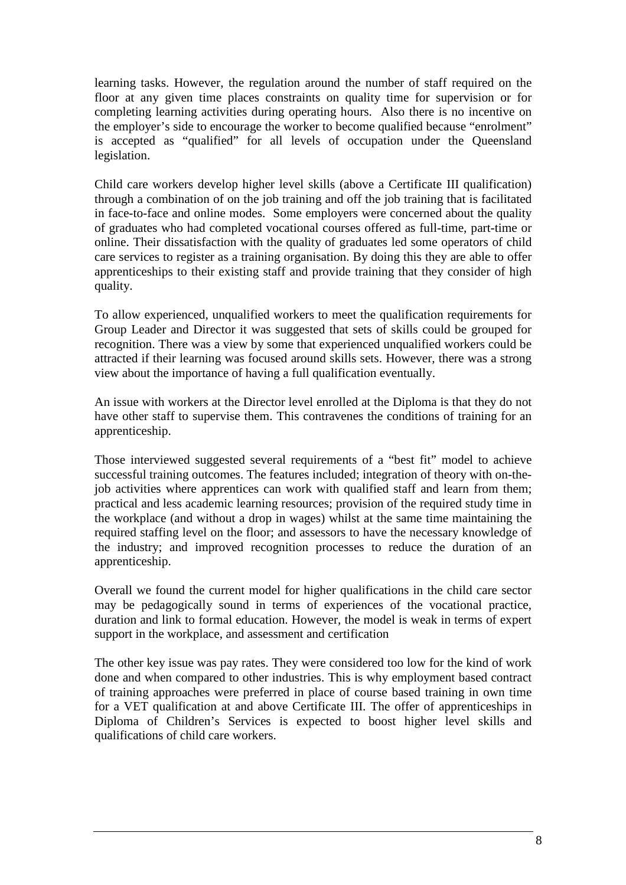learning tasks. However, the regulation around the number of staff required on the floor at any given time places constraints on quality time for supervision or for completing learning activities during operating hours. Also there is no incentive on the employer's side to encourage the worker to become qualified because "enrolment" is accepted as "qualified" for all levels of occupation under the Queensland legislation.

Child care workers develop higher level skills (above a Certificate III qualification) through a combination of on the job training and off the job training that is facilitated in face-to-face and online modes. Some employers were concerned about the quality of graduates who had completed vocational courses offered as full-time, part-time or online. Their dissatisfaction with the quality of graduates led some operators of child care services to register as a training organisation. By doing this they are able to offer apprenticeships to their existing staff and provide training that they consider of high quality.

To allow experienced, unqualified workers to meet the qualification requirements for Group Leader and Director it was suggested that sets of skills could be grouped for recognition. There was a view by some that experienced unqualified workers could be attracted if their learning was focused around skills sets. However, there was a strong view about the importance of having a full qualification eventually.

An issue with workers at the Director level enrolled at the Diploma is that they do not have other staff to supervise them. This contravenes the conditions of training for an apprenticeship.

Those interviewed suggested several requirements of a "best fit" model to achieve successful training outcomes. The features included; integration of theory with on-thejob activities where apprentices can work with qualified staff and learn from them; practical and less academic learning resources; provision of the required study time in the workplace (and without a drop in wages) whilst at the same time maintaining the required staffing level on the floor; and assessors to have the necessary knowledge of the industry; and improved recognition processes to reduce the duration of an apprenticeship.

Overall we found the current model for higher qualifications in the child care sector may be pedagogically sound in terms of experiences of the vocational practice, duration and link to formal education. However, the model is weak in terms of expert support in the workplace, and assessment and certification

The other key issue was pay rates. They were considered too low for the kind of work done and when compared to other industries. This is why employment based contract of training approaches were preferred in place of course based training in own time for a VET qualification at and above Certificate III. The offer of apprenticeships in Diploma of Children's Services is expected to boost higher level skills and qualifications of child care workers.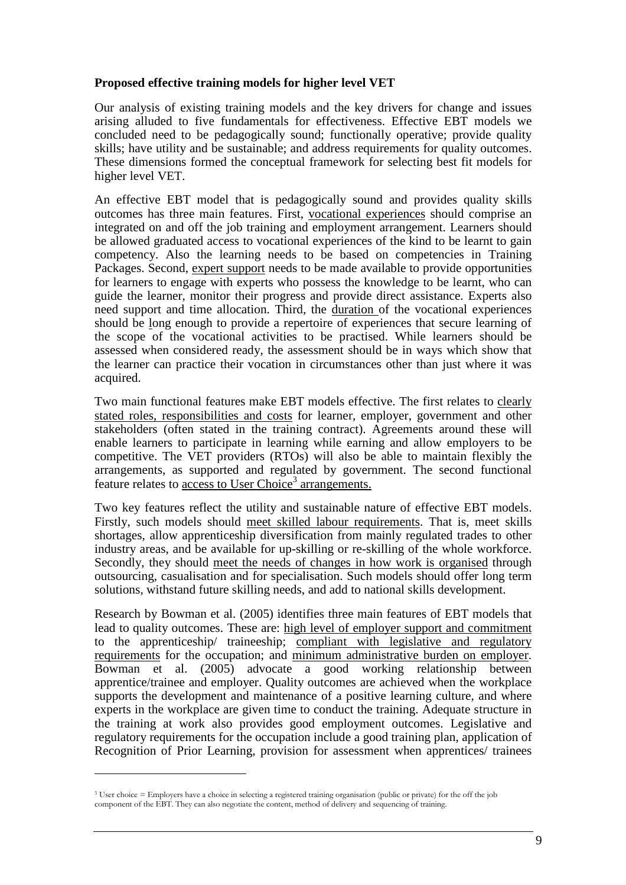### **Proposed effective training models for higher level VET**

Our analysis of existing training models and the key drivers for change and issues arising alluded to five fundamentals for effectiveness. Effective EBT models we concluded need to be pedagogically sound; functionally operative; provide quality skills; have utility and be sustainable; and address requirements for quality outcomes. These dimensions formed the conceptual framework for selecting best fit models for higher level VET.

An effective EBT model that is pedagogically sound and provides quality skills outcomes has three main features. First, vocational experiences should comprise an integrated on and off the job training and employment arrangement. Learners should be allowed graduated access to vocational experiences of the kind to be learnt to gain competency. Also the learning needs to be based on competencies in Training Packages. Second, expert support needs to be made available to provide opportunities for learners to engage with experts who possess the knowledge to be learnt, who can guide the learner, monitor their progress and provide direct assistance. Experts also need support and time allocation. Third, the duration of the vocational experiences should be long enough to provide a repertoire of experiences that secure learning of the scope of the vocational activities to be practised. While learners should be assessed when considered ready, the assessment should be in ways which show that the learner can practice their vocation in circumstances other than just where it was acquired.

Two main functional features make EBT models effective. The first relates to clearly stated roles, responsibilities and costs for learner, employer, government and other stakeholders (often stated in the training contract). Agreements around these will enable learners to participate in learning while earning and allow employers to be competitive. The VET providers (RTOs) will also be able to maintain flexibly the arrangements, as supported and regulated by government. The second functional feature relates to access to User Choice<sup>3</sup> arrangements.

Two key features reflect the utility and sustainable nature of effective EBT models. Firstly, such models should meet skilled labour requirements. That is, meet skills shortages, allow apprenticeship diversification from mainly regulated trades to other industry areas, and be available for up-skilling or re-skilling of the whole workforce. Secondly, they should meet the needs of changes in how work is organised through outsourcing, casualisation and for specialisation. Such models should offer long term solutions, withstand future skilling needs, and add to national skills development.

Research by Bowman et al. (2005) identifies three main features of EBT models that lead to quality outcomes. These are: high level of employer support and commitment to the apprenticeship/ traineeship; compliant with legislative and regulatory requirements for the occupation; and minimum administrative burden on employer. Bowman et al. (2005) advocate a good working relationship between apprentice/trainee and employer. Quality outcomes are achieved when the workplace supports the development and maintenance of a positive learning culture, and where experts in the workplace are given time to conduct the training. Adequate structure in the training at work also provides good employment outcomes. Legislative and regulatory requirements for the occupation include a good training plan, application of Recognition of Prior Learning, provision for assessment when apprentices/ trainees

 $\overline{a}$ 

<sup>3</sup> User choice = Employers have a choice in selecting a registered training organisation (public or private) for the off the job component of the EBT. They can also negotiate the content, method of delivery and sequencing of training.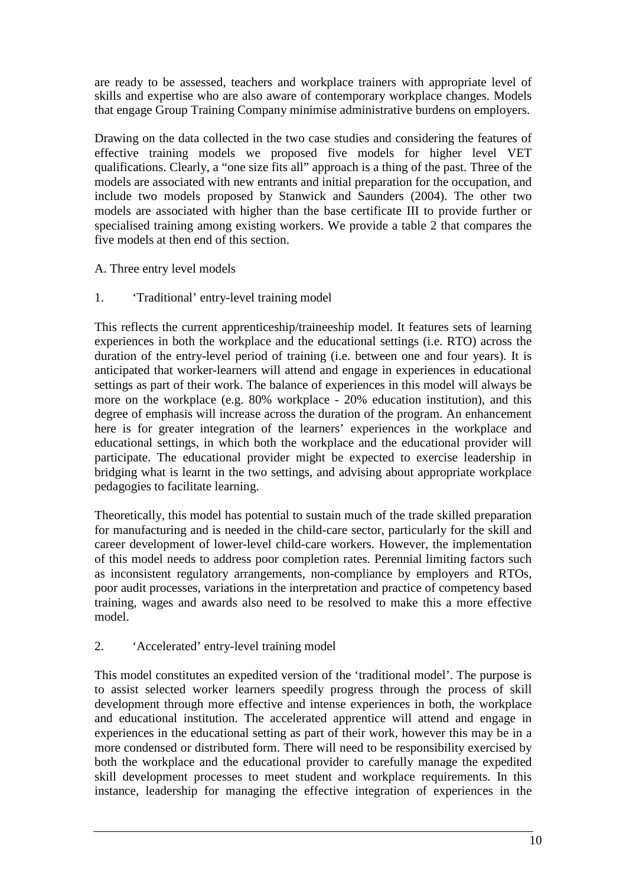are ready to be assessed, teachers and workplace trainers with appropriate level of skills and expertise who are also aware of contemporary workplace changes. Models that engage Group Training Company minimise administrative burdens on employers.

Drawing on the data collected in the two case studies and considering the features of effective training models we proposed five models for higher level VET qualifications. Clearly, a "one size fits all" approach is a thing of the past. Three of the models are associated with new entrants and initial preparation for the occupation, and include two models proposed by Stanwick and Saunders (2004). The other two models are associated with higher than the base certificate III to provide further or specialised training among existing workers. We provide a table 2 that compares the five models at then end of this section.

- A. Three entry level models
- 1. 'Traditional' entry-level training model

This reflects the current apprenticeship/traineeship model. It features sets of learning experiences in both the workplace and the educational settings (i.e. RTO) across the duration of the entry-level period of training (i.e. between one and four years). It is anticipated that worker-learners will attend and engage in experiences in educational settings as part of their work. The balance of experiences in this model will always be more on the workplace (e.g. 80% workplace - 20% education institution), and this degree of emphasis will increase across the duration of the program. An enhancement here is for greater integration of the learners' experiences in the workplace and educational settings, in which both the workplace and the educational provider will participate. The educational provider might be expected to exercise leadership in bridging what is learnt in the two settings, and advising about appropriate workplace pedagogies to facilitate learning.

Theoretically, this model has potential to sustain much of the trade skilled preparation for manufacturing and is needed in the child-care sector, particularly for the skill and career development of lower-level child-care workers. However, the implementation of this model needs to address poor completion rates. Perennial limiting factors such as inconsistent regulatory arrangements, non-compliance by employers and RTOs, poor audit processes, variations in the interpretation and practice of competency based training, wages and awards also need to be resolved to make this a more effective model.

2. 'Accelerated' entry-level training model

This model constitutes an expedited version of the 'traditional model'. The purpose is to assist selected worker learners speedily progress through the process of skill development through more effective and intense experiences in both, the workplace and educational institution. The accelerated apprentice will attend and engage in experiences in the educational setting as part of their work, however this may be in a more condensed or distributed form. There will need to be responsibility exercised by both the workplace and the educational provider to carefully manage the expedited skill development processes to meet student and workplace requirements. In this instance, leadership for managing the effective integration of experiences in the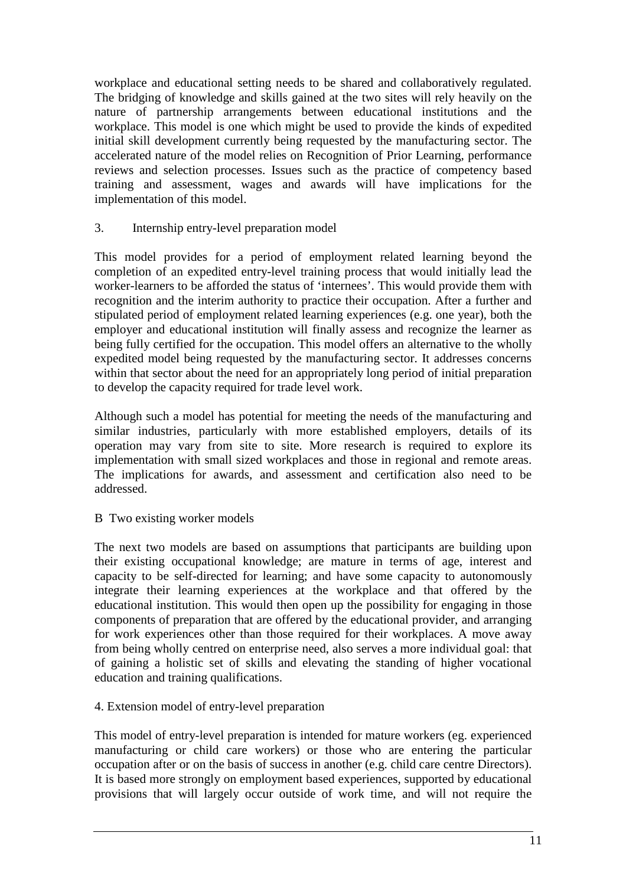workplace and educational setting needs to be shared and collaboratively regulated. The bridging of knowledge and skills gained at the two sites will rely heavily on the nature of partnership arrangements between educational institutions and the workplace. This model is one which might be used to provide the kinds of expedited initial skill development currently being requested by the manufacturing sector. The accelerated nature of the model relies on Recognition of Prior Learning, performance reviews and selection processes. Issues such as the practice of competency based training and assessment, wages and awards will have implications for the implementation of this model.

3. Internship entry-level preparation model

This model provides for a period of employment related learning beyond the completion of an expedited entry-level training process that would initially lead the worker-learners to be afforded the status of 'internees'. This would provide them with recognition and the interim authority to practice their occupation. After a further and stipulated period of employment related learning experiences (e.g. one year), both the employer and educational institution will finally assess and recognize the learner as being fully certified for the occupation. This model offers an alternative to the wholly expedited model being requested by the manufacturing sector. It addresses concerns within that sector about the need for an appropriately long period of initial preparation to develop the capacity required for trade level work.

Although such a model has potential for meeting the needs of the manufacturing and similar industries, particularly with more established employers, details of its operation may vary from site to site. More research is required to explore its implementation with small sized workplaces and those in regional and remote areas. The implications for awards, and assessment and certification also need to be addressed.

B Two existing worker models

The next two models are based on assumptions that participants are building upon their existing occupational knowledge; are mature in terms of age, interest and capacity to be self-directed for learning; and have some capacity to autonomously integrate their learning experiences at the workplace and that offered by the educational institution. This would then open up the possibility for engaging in those components of preparation that are offered by the educational provider, and arranging for work experiences other than those required for their workplaces. A move away from being wholly centred on enterprise need, also serves a more individual goal: that of gaining a holistic set of skills and elevating the standing of higher vocational education and training qualifications.

## 4. Extension model of entry-level preparation

This model of entry-level preparation is intended for mature workers (eg. experienced manufacturing or child care workers) or those who are entering the particular occupation after or on the basis of success in another (e.g. child care centre Directors). It is based more strongly on employment based experiences, supported by educational provisions that will largely occur outside of work time, and will not require the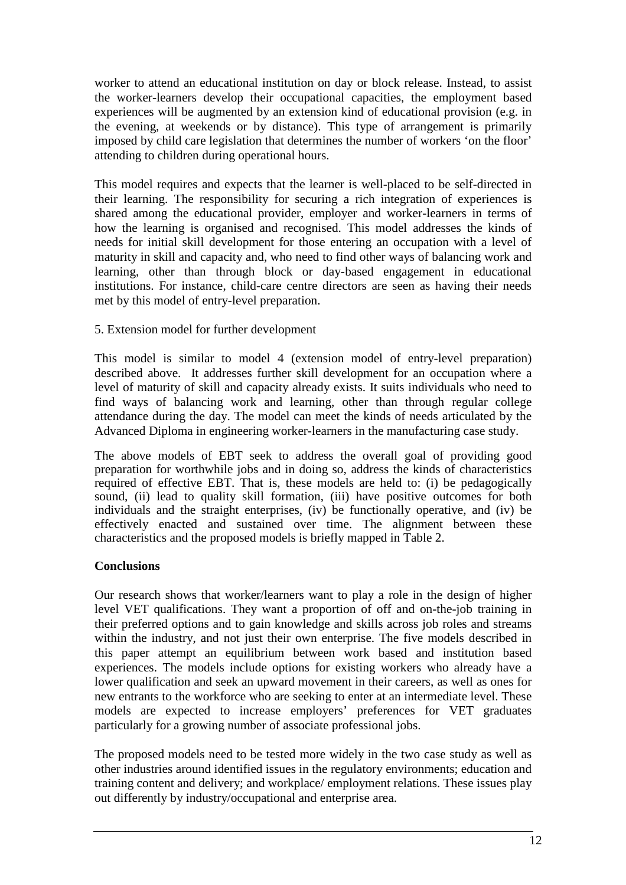worker to attend an educational institution on day or block release. Instead, to assist the worker-learners develop their occupational capacities, the employment based experiences will be augmented by an extension kind of educational provision (e.g. in the evening, at weekends or by distance). This type of arrangement is primarily imposed by child care legislation that determines the number of workers 'on the floor' attending to children during operational hours.

This model requires and expects that the learner is well-placed to be self-directed in their learning. The responsibility for securing a rich integration of experiences is shared among the educational provider, employer and worker-learners in terms of how the learning is organised and recognised. This model addresses the kinds of needs for initial skill development for those entering an occupation with a level of maturity in skill and capacity and, who need to find other ways of balancing work and learning, other than through block or day-based engagement in educational institutions. For instance, child-care centre directors are seen as having their needs met by this model of entry-level preparation.

## 5. Extension model for further development

This model is similar to model 4 (extension model of entry-level preparation) described above. It addresses further skill development for an occupation where a level of maturity of skill and capacity already exists. It suits individuals who need to find ways of balancing work and learning, other than through regular college attendance during the day. The model can meet the kinds of needs articulated by the Advanced Diploma in engineering worker-learners in the manufacturing case study.

The above models of EBT seek to address the overall goal of providing good preparation for worthwhile jobs and in doing so, address the kinds of characteristics required of effective EBT. That is, these models are held to: (i) be pedagogically sound, (ii) lead to quality skill formation, (iii) have positive outcomes for both individuals and the straight enterprises, (iv) be functionally operative, and (iv) be effectively enacted and sustained over time. The alignment between these characteristics and the proposed models is briefly mapped in Table 2.

## **Conclusions**

Our research shows that worker/learners want to play a role in the design of higher level VET qualifications. They want a proportion of off and on-the-job training in their preferred options and to gain knowledge and skills across job roles and streams within the industry, and not just their own enterprise. The five models described in this paper attempt an equilibrium between work based and institution based experiences. The models include options for existing workers who already have a lower qualification and seek an upward movement in their careers, as well as ones for new entrants to the workforce who are seeking to enter at an intermediate level. These models are expected to increase employers' preferences for VET graduates particularly for a growing number of associate professional jobs.

The proposed models need to be tested more widely in the two case study as well as other industries around identified issues in the regulatory environments; education and training content and delivery; and workplace/ employment relations. These issues play out differently by industry/occupational and enterprise area.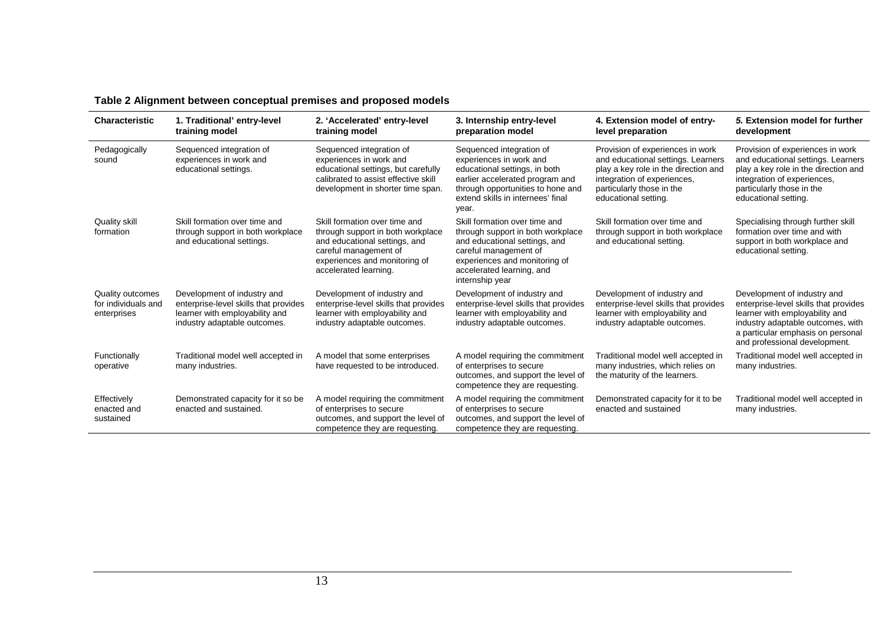| <b>Characteristic</b>                                         | 1. Traditional' entry-level<br>training model                                                                                          | 2. 'Accelerated' entry-level<br>training model                                                                                                                                         | 3. Internship entry-level<br>preparation model                                                                                                                                                                | 4. Extension model of entry-<br>level preparation                                                                                                                                                  | 5. Extension model for further<br>development                                                                                                                                                                     |
|---------------------------------------------------------------|----------------------------------------------------------------------------------------------------------------------------------------|----------------------------------------------------------------------------------------------------------------------------------------------------------------------------------------|---------------------------------------------------------------------------------------------------------------------------------------------------------------------------------------------------------------|----------------------------------------------------------------------------------------------------------------------------------------------------------------------------------------------------|-------------------------------------------------------------------------------------------------------------------------------------------------------------------------------------------------------------------|
| Pedagogically<br>sound                                        | Sequenced integration of<br>experiences in work and<br>educational settings.                                                           | Sequenced integration of<br>experiences in work and<br>educational settings, but carefully<br>calibrated to assist effective skill<br>development in shorter time span.                | Sequenced integration of<br>experiences in work and<br>educational settings, in both<br>earlier accelerated program and<br>through opportunities to hone and<br>extend skills in internees' final<br>year.    | Provision of experiences in work<br>and educational settings. Learners<br>play a key role in the direction and<br>integration of experiences,<br>particularly those in the<br>educational setting. | Provision of experiences in work<br>and educational settings. Learners<br>play a key role in the direction and<br>integration of experiences,<br>particularly those in the<br>educational setting.                |
| <b>Quality skill</b><br>formation                             | Skill formation over time and<br>through support in both workplace<br>and educational settings.                                        | Skill formation over time and<br>through support in both workplace<br>and educational settings, and<br>careful management of<br>experiences and monitoring of<br>accelerated learning. | Skill formation over time and<br>through support in both workplace<br>and educational settings, and<br>careful management of<br>experiences and monitoring of<br>accelerated learning, and<br>internship year | Skill formation over time and<br>through support in both workplace<br>and educational setting.                                                                                                     | Specialising through further skill<br>formation over time and with<br>support in both workplace and<br>educational setting.                                                                                       |
| <b>Quality outcomes</b><br>for individuals and<br>enterprises | Development of industry and<br>enterprise-level skills that provides<br>learner with employability and<br>industry adaptable outcomes. | Development of industry and<br>enterprise-level skills that provides<br>learner with employability and<br>industry adaptable outcomes.                                                 | Development of industry and<br>enterprise-level skills that provides<br>learner with employability and<br>industry adaptable outcomes.                                                                        | Development of industry and<br>enterprise-level skills that provides<br>learner with employability and<br>industry adaptable outcomes.                                                             | Development of industry and<br>enterprise-level skills that provides<br>learner with employability and<br>industry adaptable outcomes, with<br>a particular emphasis on personal<br>and professional development. |
| Functionally<br>operative                                     | Traditional model well accepted in<br>many industries.                                                                                 | A model that some enterprises<br>have requested to be introduced.                                                                                                                      | A model requiring the commitment<br>of enterprises to secure<br>outcomes, and support the level of<br>competence they are requesting.                                                                         | Traditional model well accepted in<br>many industries, which relies on<br>the maturity of the learners.                                                                                            | Traditional model well accepted in<br>many industries.                                                                                                                                                            |
| Effectively<br>enacted and<br>sustained                       | Demonstrated capacity for it so be<br>enacted and sustained.                                                                           | A model requiring the commitment<br>of enterprises to secure<br>outcomes, and support the level of<br>competence they are requesting.                                                  | A model requiring the commitment<br>of enterprises to secure<br>outcomes, and support the level of<br>competence they are requesting.                                                                         | Demonstrated capacity for it to be<br>enacted and sustained                                                                                                                                        | Traditional model well accepted in<br>many industries.                                                                                                                                                            |